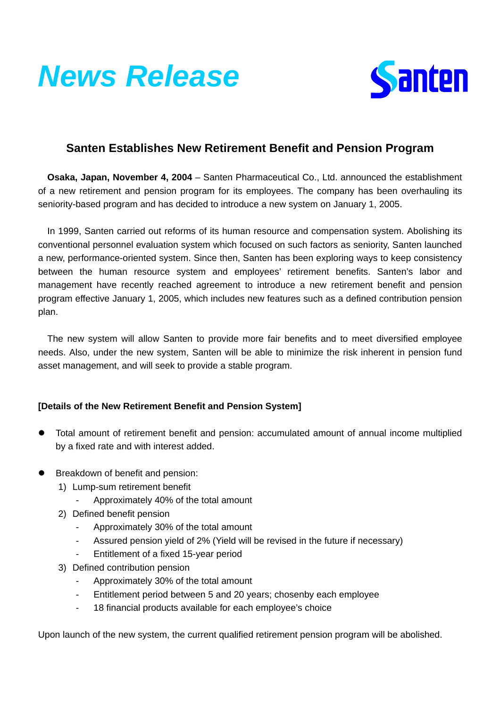



## **Santen Establishes New Retirement Benefit and Pension Program**

**Osaka, Japan, November 4, 2004** – Santen Pharmaceutical Co., Ltd. announced the establishment of a new retirement and pension program for its employees. The company has been overhauling its seniority-based program and has decided to introduce a new system on January 1, 2005.

In 1999, Santen carried out reforms of its human resource and compensation system. Abolishing its conventional personnel evaluation system which focused on such factors as seniority, Santen launched a new, performance-oriented system. Since then, Santen has been exploring ways to keep consistency between the human resource system and employees' retirement benefits. Santen's labor and management have recently reached agreement to introduce a new retirement benefit and pension program effective January 1, 2005, which includes new features such as a defined contribution pension plan.

The new system will allow Santen to provide more fair benefits and to meet diversified employee needs. Also, under the new system, Santen will be able to minimize the risk inherent in pension fund asset management, and will seek to provide a stable program.

## **[Details of the New Retirement Benefit and Pension System]**

- Total amount of retirement benefit and pension: accumulated amount of annual income multiplied by a fixed rate and with interest added.
- Breakdown of benefit and pension:
	- 1) Lump-sum retirement benefit
		- Approximately 40% of the total amount
	- 2) Defined benefit pension
		- Approximately 30% of the total amount
		- Assured pension yield of 2% (Yield will be revised in the future if necessary)
		- Entitlement of a fixed 15-year period
	- 3) Defined contribution pension
		- Approximately 30% of the total amount
		- Entitlement period between 5 and 20 years; chosenby each employee
		- 18 financial products available for each employee's choice

Upon launch of the new system, the current qualified retirement pension program will be abolished.